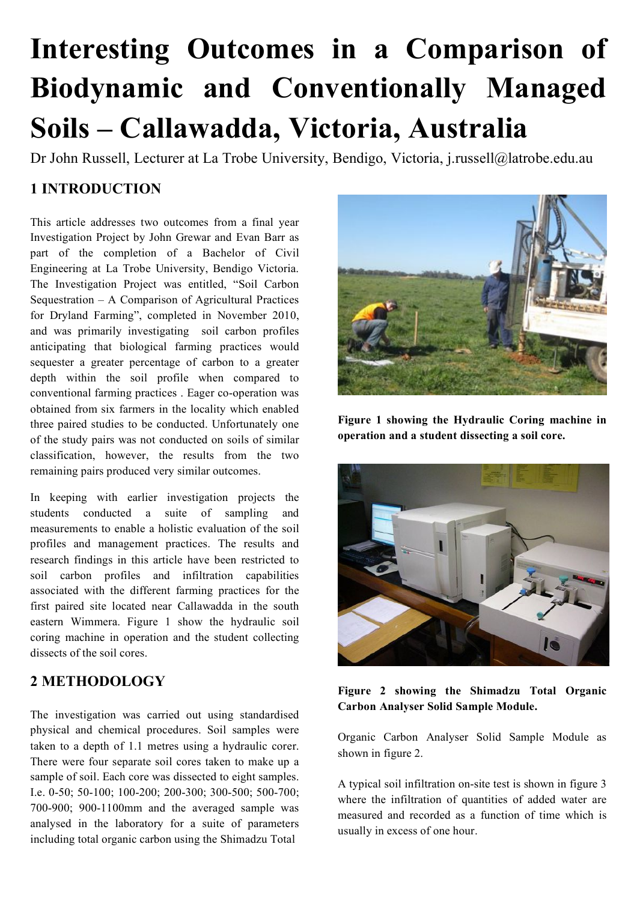# **Interesting Outcomes in a Comparison of Biodynamic and Conventionally Managed Soils – Callawadda, Victoria, Australia**

Dr John Russell, Lecturer at La Trobe University, Bendigo, Victoria, j.russell@latrobe.edu.au

# **1 INTRODUCTION**

This article addresses two outcomes from a final year Investigation Project by John Grewar and Evan Barr as part of the completion of a Bachelor of Civil Engineering at La Trobe University, Bendigo Victoria. The Investigation Project was entitled, "Soil Carbon Sequestration – A Comparison of Agricultural Practices for Dryland Farming", completed in November 2010, and was primarily investigating soil carbon profiles anticipating that biological farming practices would sequester a greater percentage of carbon to a greater depth within the soil profile when compared to conventional farming practices . Eager co-operation was obtained from six farmers in the locality which enabled three paired studies to be conducted. Unfortunately one of the study pairs was not conducted on soils of similar classification, however, the results from the two remaining pairs produced very similar outcomes.

In keeping with earlier investigation projects the students conducted a suite of sampling and measurements to enable a holistic evaluation of the soil profiles and management practices. The results and research findings in this article have been restricted to soil carbon profiles and infiltration capabilities associated with the different farming practices for the first paired site located near Callawadda in the south eastern Wimmera. Figure 1 show the hydraulic soil coring machine in operation and the student collecting dissects of the soil cores.

# **2 METHODOLOGY**

The investigation was carried out using standardised physical and chemical procedures. Soil samples were taken to a depth of 1.1 metres using a hydraulic corer. There were four separate soil cores taken to make up a sample of soil. Each core was dissected to eight samples. I.e. 0-50; 50-100; 100-200; 200-300; 300-500; 500-700; 700-900; 900-1100mm and the averaged sample was analysed in the laboratory for a suite of parameters including total organic carbon using the Shimadzu Total



**Figure 1 showing the Hydraulic Coring machine in operation and a student dissecting a soil core.**



**Figure 2 showing the Shimadzu Total Organic Carbon Analyser Solid Sample Module.**

Organic Carbon Analyser Solid Sample Module as shown in figure 2.

A typical soil infiltration on-site test is shown in figure 3 where the infiltration of quantities of added water are measured and recorded as a function of time which is usually in excess of one hour.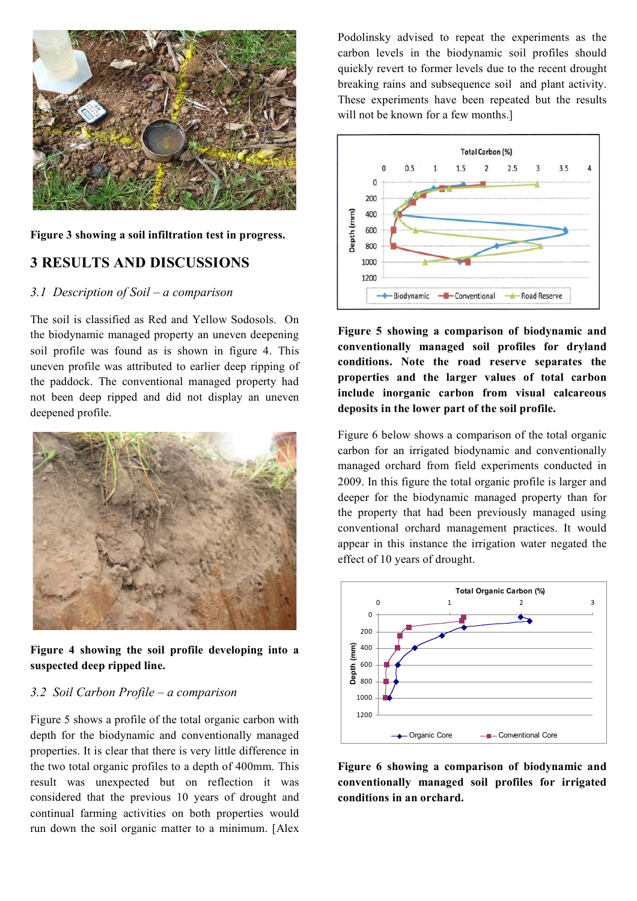

**Figure 3 showing a soil infiltration test in progress.**

## **3 RESULTS AND DISCUSSIONS**

#### *3.1 Description of Soil – a comparison*

The soil is classified as Red and Yellow Sodosols. On the biodynamic managed property an uneven deepening soil profile was found as is shown in figure 4. This uneven profile was attributed to earlier deep ripping of the paddock. The conventional managed property had not been deep ripped and did not display an uneven deepened profile.



**Figure 4 showing the soil profile developing into a suspected deep ripped line.**

#### *3.2 Soil Carbon Profile – a comparison*

Figure 5 shows a profile of the total organic carbon with depth for the biodynamic and conventionally managed properties. It is clear that there is very little difference in the two total organic profiles to a depth of 400mm. This result was unexpected but on reflection it was considered that the previous 10 years of drought and continual farming activities on both properties would run down the soil organic matter to a minimum. [Alex Podolinsky advised to repeat the experiments as the carbon levels in the biodynamic soil profiles should quickly revert to former levels due to the recent drought breaking rains and subsequence soil and plant activity. These experiments have been repeated but the results will not be known for a few months.



**Figure 5 showing a comparison of biodynamic and conventionally managed soil profiles for dryland conditions. Note the road reserve separates the properties and the larger values of total carbon include inorganic carbon from visual calcareous deposits in the lower part of the soil profile.**

Figure 6 below shows a comparison of the total organic carbon for an irrigated biodynamic and conventionally managed orchard from field experiments conducted in 2009. In this figure the total organic profile is larger and deeper for the biodynamic managed property than for the property that had been previously managed using conventional orchard management practices. It would appear in this instance the irrigation water negated the effect of 10 years of drought.



**Figure 6 showing a comparison of biodynamic and conventionally managed soil profiles for irrigated conditions in an orchard.**